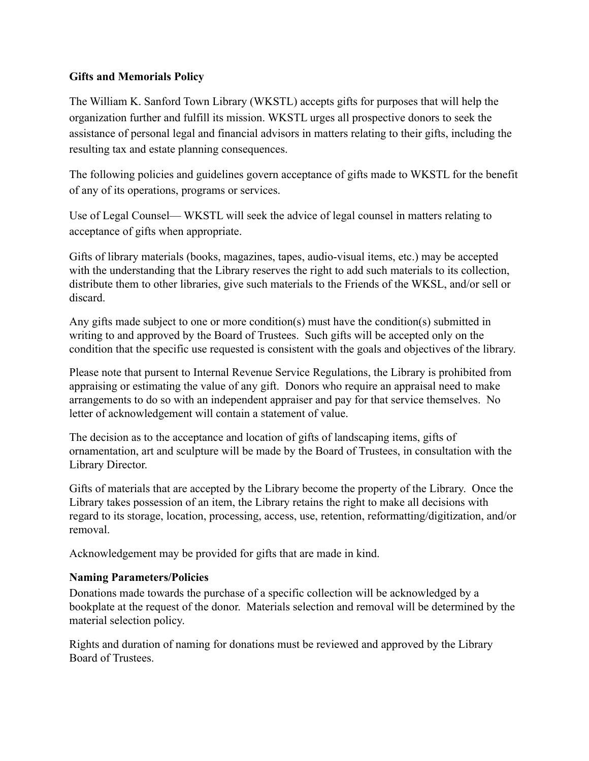## **Gifts and Memorials Policy**

The William K. Sanford Town Library (WKSTL) accepts gifts for purposes that will help the organization further and fulfill its mission. WKSTL urges all prospective donors to seek the assistance of personal legal and financial advisors in matters relating to their gifts, including the resulting tax and estate planning consequences.

The following policies and guidelines govern acceptance of gifts made to WKSTL for the benefit of any of its operations, programs or services.

Use of Legal Counsel— WKSTL will seek the advice of legal counsel in matters relating to acceptance of gifts when appropriate.

Gifts of library materials (books, magazines, tapes, audio-visual items, etc.) may be accepted with the understanding that the Library reserves the right to add such materials to its collection, distribute them to other libraries, give such materials to the Friends of the WKSL, and/or sell or discard.

Any gifts made subject to one or more condition(s) must have the condition(s) submitted in writing to and approved by the Board of Trustees. Such gifts will be accepted only on the condition that the specific use requested is consistent with the goals and objectives of the library.

Please note that pursent to Internal Revenue Service Regulations, the Library is prohibited from appraising or estimating the value of any gift. Donors who require an appraisal need to make arrangements to do so with an independent appraiser and pay for that service themselves. No letter of acknowledgement will contain a statement of value.

The decision as to the acceptance and location of gifts of landscaping items, gifts of ornamentation, art and sculpture will be made by the Board of Trustees, in consultation with the Library Director.

Gifts of materials that are accepted by the Library become the property of the Library. Once the Library takes possession of an item, the Library retains the right to make all decisions with regard to its storage, location, processing, access, use, retention, reformatting/digitization, and/or removal.

Acknowledgement may be provided for gifts that are made in kind.

## **Naming Parameters/Policies**

Donations made towards the purchase of a specific collection will be acknowledged by a bookplate at the request of the donor. Materials selection and removal will be determined by the material selection policy.

Rights and duration of naming for donations must be reviewed and approved by the Library Board of Trustees.